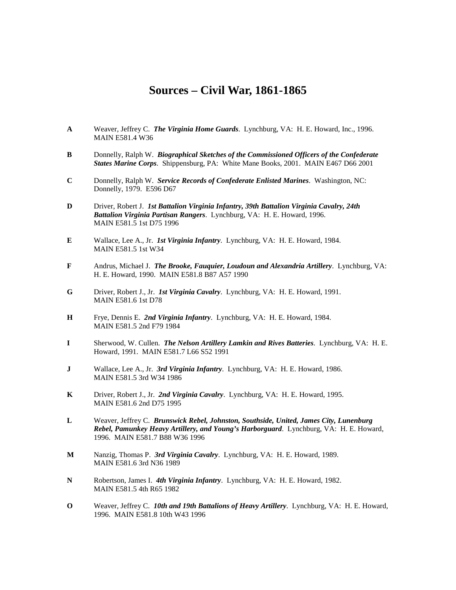## **Sources – Civil War, 1861-1865**

- **A** Weaver, Jeffrey C. *The Virginia Home Guards*. Lynchburg, VA: H. E. Howard, Inc., 1996. MAIN E581.4 W36
- **B** Donnelly, Ralph W. *Biographical Sketches of the Commissioned Officers of the Confederate States Marine Corps*. Shippensburg, PA: White Mane Books, 2001. MAIN E467 D66 2001
- **C** Donnelly, Ralph W. *Service Records of Confederate Enlisted Marines*. Washington, NC: Donnelly, 1979. E596 D67
- **D** Driver, Robert J. *1st Battalion Virginia Infantry, 39th Battalion Virginia Cavalry, 24th Battalion Virginia Partisan Rangers*. Lynchburg, VA: H. E. Howard, 1996. MAIN E581.5 1st D75 1996
- **E** Wallace, Lee A., Jr. *1st Virginia Infantry*. Lynchburg, VA: H. E. Howard, 1984. MAIN E581.5 1st W34
- **F** Andrus, Michael J. *The Brooke, Fauquier, Loudoun and Alexandria Artillery*. Lynchburg, VA: H. E. Howard, 1990. MAIN E581.8 B87 A57 1990
- **G** Driver, Robert J., Jr. *1st Virginia Cavalry*. Lynchburg, VA: H. E. Howard, 1991. MAIN E581.6 1st D78
- **H** Frye, Dennis E. *2nd Virginia Infantry*. Lynchburg, VA: H. E. Howard, 1984. MAIN E581.5 2nd F79 1984
- **I** Sherwood, W. Cullen. *The Nelson Artillery Lamkin and Rives Batteries*. Lynchburg, VA: H. E. Howard, 1991. MAIN E581.7 L66 S52 1991
- **J** Wallace, Lee A., Jr. *3rd Virginia Infantry*. Lynchburg, VA: H. E. Howard, 1986. MAIN E581.5 3rd W34 1986
- **K** Driver, Robert J., Jr.*2nd Virginia Cavalry*. Lynchburg, VA: H. E. Howard, 1995. MAIN E581.6 2nd D75 1995
- **L** Weaver, Jeffrey C. *Brunswick Rebel, Johnston, Southside, United, James City, Lunenburg Rebel, Pamunkey Heavy Artillery, and Young's Harborguard*. Lynchburg, VA: H. E. Howard, 1996. MAIN E581.7 B88 W36 1996
- **M** Nanzig, Thomas P. *3rd Virginia Cavalry*. Lynchburg, VA: H. E. Howard, 1989. MAIN E581.6 3rd N36 1989
- **N** Robertson, James I. *4th Virginia Infantry*. Lynchburg, VA: H. E. Howard, 1982. MAIN E581.5 4th R65 1982
- **O** Weaver, Jeffrey C. *10th and 19th Battalions of Heavy Artillery*. Lynchburg, VA: H. E. Howard, 1996. MAIN E581.8 10th W43 1996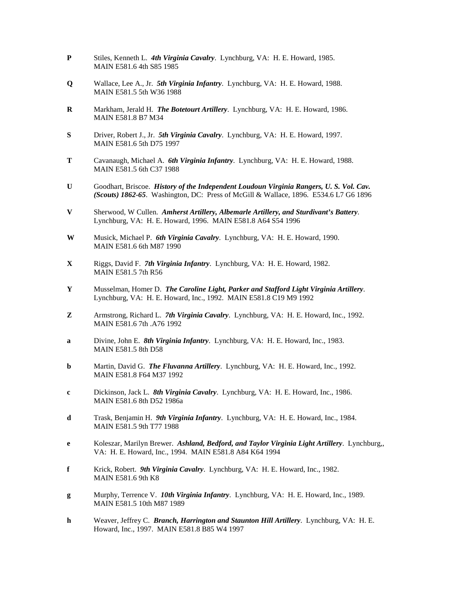- **P** Stiles, Kenneth L. *4th Virginia Cavalry*. Lynchburg, VA: H. E. Howard, 1985. MAIN E581.6 4th S85 1985
- **Q** Wallace, Lee A., Jr. *5th Virginia Infantry*. Lynchburg, VA: H. E. Howard, 1988. MAIN E581.5 5th W36 1988
- **R** Markham, Jerald H. *The Botetourt Artillery*. Lynchburg, VA: H. E. Howard, 1986. MAIN E581.8 B7 M34
- **S** Driver, Robert J., Jr. *5th Virginia Cavalry*. Lynchburg, VA: H. E. Howard, 1997. MAIN E581.6 5th D75 1997
- **T** Cavanaugh, Michael A. *6th Virginia Infantry*. Lynchburg, VA: H. E. Howard, 1988. MAIN E581.5 6th C37 1988
- **U** Goodhart, Briscoe. *History of the Independent Loudoun Virginia Rangers, U. S. Vol. Cav. (Scouts) 1862-65*. Washington, DC: Press of McGill & Wallace, 1896. E534.6 L7 G6 1896
- **V** Sherwood, W Cullen. *Amherst Artillery, Albemarle Artillery, and Sturdivant's Battery*. Lynchburg, VA: H. E. Howard, 1996. MAIN E581.8 A64 S54 1996
- **W** Musick, Michael P. *6th Virginia Cavalry*. Lynchburg, VA: H. E. Howard, 1990. MAIN E581.6 6th M87 1990
- **X** Riggs, David F. *7th Virginia Infantry*. Lynchburg, VA: H. E. Howard, 1982. MAIN E581.5 7th R56
- **Y** Musselman, Homer D. *The Caroline Light, Parker and Stafford Light Virginia Artillery*. Lynchburg, VA: H. E. Howard, Inc., 1992. MAIN E581.8 C19 M9 1992
- **Z** Armstrong, Richard L. *7th Virginia Cavalry*. Lynchburg, VA: H. E. Howard, Inc., 1992. MAIN E581.6 7th .A76 1992
- **a** Divine, John E. *8th Virginia Infantry*. Lynchburg, VA: H. E. Howard, Inc., 1983. MAIN E581.5 8th D58
- **b** Martin, David G. *The Fluvanna Artillery*. Lynchburg, VA: H. E. Howard, Inc., 1992. MAIN E581.8 F64 M37 1992
- **c** Dickinson, Jack L. *8th Virginia Cavalry*. Lynchburg, VA: H. E. Howard, Inc., 1986. MAIN E581.6 8th D52 1986a
- **d** Trask, Benjamin H. *9th Virginia Infantry*. Lynchburg, VA: H. E. Howard, Inc., 1984. MAIN E581.5 9th T77 1988
- **e** Koleszar, Marilyn Brewer. *Ashland, Bedford, and Taylor Virginia Light Artillery*. Lynchburg,, VA: H. E. Howard, Inc., 1994. MAIN E581.8 A84 K64 1994
- **f** Krick, Robert. *9th Virginia Cavalry*. Lynchburg, VA: H. E. Howard, Inc., 1982. MAIN E581.6 9th K8
- **g** Murphy, Terrence V. *10th Virginia Infantry*. Lynchburg, VA: H. E. Howard, Inc., 1989. MAIN E581.5 10th M87 1989
- **h** Weaver, Jeffrey C. *Branch, Harrington and Staunton Hill Artillery*. Lynchburg, VA: H. E. Howard, Inc., 1997. MAIN E581.8 B85 W4 1997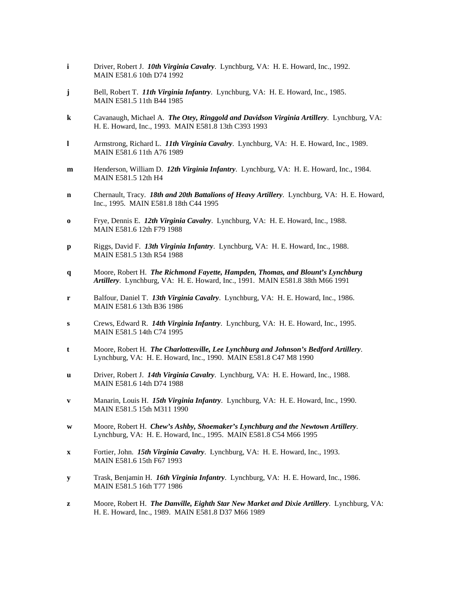- **i** Driver, Robert J. *10th Virginia Cavalry*. Lynchburg, VA: H. E. Howard, Inc., 1992. MAIN E581.6 10th D74 1992
- **j** Bell, Robert T. *11th Virginia Infantry*. Lynchburg, VA: H. E. Howard, Inc., 1985. MAIN E581.5 11th B44 1985
- **k** Cavanaugh, Michael A. *The Otey, Ringgold and Davidson Virginia Artillery*. Lynchburg, VA: H. E. Howard, Inc., 1993. MAIN E581.8 13th C393 1993
- **l** Armstrong, Richard L. *11th Virginia Cavalry*. Lynchburg, VA: H. E. Howard, Inc., 1989. MAIN E581.6 11th A76 1989
- **m** Henderson, William D. *12th Virginia Infantry*. Lynchburg, VA: H. E. Howard, Inc., 1984. MAIN E581.5 12th H4
- **n** Chernault, Tracy. *18th and 20th Battalions of Heavy Artillery*. Lynchburg, VA: H. E. Howard, Inc., 1995. MAIN E581.8 18th C44 1995
- **o** Frye, Dennis E. *12th Virginia Cavalry*. Lynchburg, VA: H. E. Howard, Inc., 1988. MAIN E581.6 12th F79 1988
- **p** Riggs, David F. *13th Virginia Infantry*. Lynchburg, VA: H. E. Howard, Inc., 1988. MAIN E581.5 13th R54 1988
- **q** Moore, Robert H. *The Richmond Fayette, Hampden, Thomas, and Blount's Lynchburg Artillery*. Lynchburg, VA: H. E. Howard, Inc., 1991. MAIN E581.8 38th M66 1991
- **r** Balfour, Daniel T. *13th Virginia Cavalry*. Lynchburg, VA: H. E. Howard, Inc., 1986. MAIN E581.6 13th B36 1986
- **s** Crews, Edward R. *14th Virginia Infantry*. Lynchburg, VA: H. E. Howard, Inc., 1995. MAIN E581.5 14th C74 1995
- **t** Moore, Robert H. *The Charlottesville, Lee Lynchburg and Johnson's Bedford Artillery*. Lynchburg, VA: H. E. Howard, Inc., 1990. MAIN E581.8 C47 M8 1990
- **u** Driver, Robert J. *14th Virginia Cavalry*. Lynchburg, VA: H. E. Howard, Inc., 1988. MAIN E581.6 14th D74 1988
- **v** Manarin, Louis H. *15th Virginia Infantry*. Lynchburg, VA: H. E. Howard, Inc., 1990. MAIN E581.5 15th M311 1990
- **w** Moore, Robert H. *Chew's Ashby, Shoemaker's Lynchburg and the Newtown Artillery*. Lynchburg, VA: H. E. Howard, Inc., 1995. MAIN E581.8 C54 M66 1995
- **x** Fortier, John. *15th Virginia Cavalry*.Lynchburg, VA: H. E. Howard, Inc., 1993. MAIN E581.6 15th F67 1993
- **y** Trask, Benjamin H. *16th Virginia Infantry*. Lynchburg, VA: H. E. Howard, Inc., 1986. MAIN E581.5 16th T77 1986
- **z** Moore, Robert H. *The Danville, Eighth Star New Market and Dixie Artillery*. Lynchburg, VA: H. E. Howard, Inc., 1989. MAIN E581.8 D37 M66 1989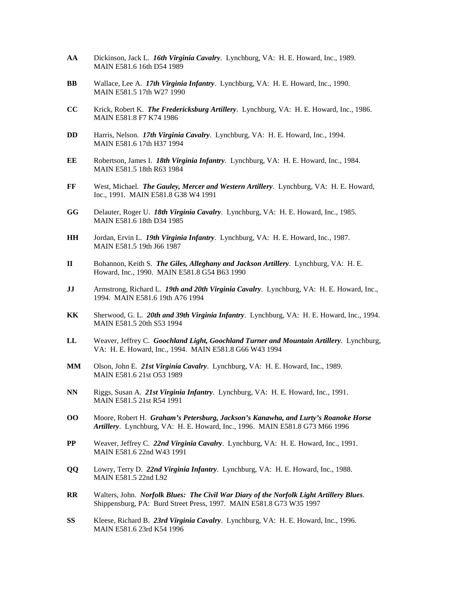- **AA** Dickinson, Jack L. *16th Virginia Cavalry*. Lynchburg, VA: H. E. Howard, Inc., 1989. MAIN E581.6 16th D54 1989
- **BB** Wallace, Lee A. *17th Virginia Infantry*. Lynchburg, VA: H. E. Howard, Inc., 1990. MAIN E581.5 17th W27 1990
- **CC** Krick, Robert K. *The Fredericksburg Artillery*. Lynchburg, VA: H. E. Howard, Inc., 1986. MAIN E581.8 F7 K74 1986
- **DD** Harris, Nelson. *17th Virginia Cavalry*. Lynchburg, VA: H. E. Howard, Inc., 1994. MAIN E581.6 17th H37 1994
- **EE** Robertson, James I. *18th Virginia Infantry*. Lynchburg, VA: H. E. Howard, Inc., 1984. MAIN E581.5 18th R63 1984
- **FF** West, Michael. *The Gauley, Mercer and Western Artillery*. Lynchburg, VA: H. E. Howard, Inc., 1991. MAIN E581.8 G38 W4 1991
- **GG** Delauter, Roger U. *18th Virginia Cavalry*. Lynchburg, VA: H. E. Howard, Inc., 1985. MAIN E581.6 18th D34 1985
- **HH** Jordan, Ervin L. *19th Virginia Infantry*. Lynchburg, VA: H. E. Howard, Inc., 1987. MAIN E581.5 19th J66 1987
- **II** Bohannon, Keith S. *The Giles, Alleghany and Jackson Artillery*. Lynchburg, VA: H. E. Howard, Inc., 1990. MAIN E581.8 G54 B63 1990
- **JJ** Armstrong, Richard L. *19th and 20th Virginia Cavalry*. Lynchburg, VA: H. E. Howard, Inc., 1994. MAIN E581.6 19th A76 1994
- **KK** Sherwood, G. L. *20th and 39th Virginia Infantry*. Lynchburg, VA: H. E. Howard, Inc., 1994. MAIN E581.5 20th S53 1994
- **LL** Weaver, Jeffrey C. *Goochland Light, Goochland Turner and Mountain Artillery*. Lynchburg, VA: H. E. Howard, Inc., 1994. MAIN E581.8 G66 W43 1994
- **MM** Olson, John E. *21st Virginia Cavalry*. Lynchburg, VA: H. E. Howard, Inc., 1989. MAIN E581.6 21st O53 1989
- **NN** Riggs, Susan A. *21st Virginia Infantry*. Lynchburg, VA: H. E. Howard, Inc., 1991. MAIN E581.5 21st R54 1991
- **OO** Moore, Robert H. *Graham's Petersburg, Jackson's Kanawha, and Lurty's Roanoke Horse Artillery*. Lynchburg, VA: H. E. Howard, Inc., 1996. MAIN E581.8 G73 M66 1996
- **PP** Weaver, Jeffrey C. *22nd Virginia Cavalry*. Lynchburg, VA: H. E. Howard, Inc., 1991. MAIN E581.6 22nd W43 1991
- **QQ** Lowry, Terry D. *22nd Virginia Infantry*. Lynchburg, VA: H. E. Howard, Inc., 1988. MAIN E581.5 22nd L92
- **RR** Walters, John. *Norfolk Blues: The Civil War Diary of the Norfolk Light Artillery Blues*. Shippensburg, PA: Burd Street Press, 1997. MAIN E581.8 G73 W35 1997
- **SS** Kleese, Richard B. *23rd Virginia Cavalry*. Lynchburg, VA: H. E. Howard, Inc., 1996. MAIN E581.6 23rd K54 1996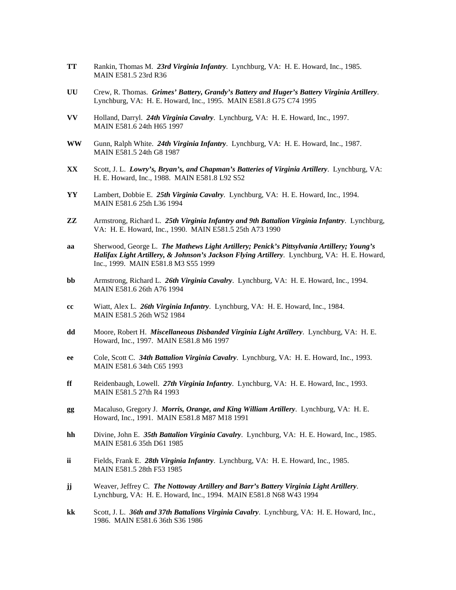- **TT** Rankin, Thomas M. *23rd Virginia Infantry*. Lynchburg, VA: H. E. Howard, Inc., 1985. MAIN E581.5 23rd R36
- **UU** Crew, R. Thomas. *Grimes' Battery, Grandy's Battery and Huger's Battery Virginia Artillery*. Lynchburg, VA: H. E. Howard, Inc., 1995. MAIN E581.8 G75 C74 1995
- **VV** Holland, Darryl. *24th Virginia Cavalry*. Lynchburg, VA: H. E. Howard, Inc., 1997. MAIN E581.6 24th H65 1997
- **WW** Gunn, Ralph White. *24th Virginia Infantry*. Lynchburg, VA: H. E. Howard, Inc., 1987. MAIN E581.5 24th G8 1987
- **XX** Scott, J. L. *Lowry's, Bryan's, and Chapman's Batteries of Virginia Artillery*. Lynchburg, VA: H. E. Howard, Inc., 1988. MAIN E581.8 L92 S52
- **YY** Lambert, Dobbie E. *25th Virginia Cavalry*. Lynchburg, VA: H. E. Howard, Inc., 1994. MAIN E581.6 25th L36 1994
- **ZZ** Armstrong, Richard L. *25th Virginia Infantry and 9th Battalion Virginia Infantry*. Lynchburg, VA: H. E. Howard, Inc., 1990. MAIN E581.5 25th A73 1990
- **aa** Sherwood, George L. *The Mathews Light Artillery; Penick's Pittsylvania Artillery; Young's Halifax Light Artillery, & Johnson's Jackson Flying Artillery*. Lynchburg, VA: H. E. Howard, Inc., 1999. MAIN E581.8 M3 S55 1999
- **bb** Armstrong, Richard L. *26th Virginia Cavalry*. Lynchburg, VA: H. E. Howard, Inc., 1994. MAIN E581.6 26th A76 1994
- **cc** Wiatt, Alex L. *26th Virginia Infantry*. Lynchburg, VA: H. E. Howard, Inc., 1984. MAIN E581.5 26th W52 1984
- **dd** Moore, Robert H. *Miscellaneous Disbanded Virginia Light Artillery*. Lynchburg, VA: H. E. Howard, Inc., 1997. MAIN E581.8 M6 1997
- **ee** Cole, Scott C. *34th Battalion Virginia Cavalry*. Lynchburg, VA: H. E. Howard, Inc., 1993. MAIN E581.6 34th C65 1993
- **ff** Reidenbaugh, Lowell. *27th Virginia Infantry*. Lynchburg, VA: H. E. Howard, Inc., 1993. MAIN E581.5 27th R4 1993
- **gg** Macaluso, Gregory J. *Morris, Orange, and King William Artillery*. Lynchburg, VA: H. E. Howard, Inc., 1991. MAIN E581.8 M87 M18 1991
- **hh** Divine, John E. *35th Battalion Virginia Cavalry*. Lynchburg, VA: H. E. Howard, Inc., 1985. MAIN E581.6 35th D61 1985
- **ii** Fields, Frank E. *28th Virginia Infantry*. Lynchburg, VA: H. E. Howard, Inc., 1985. MAIN E581.5 28th F53 1985
- **jj** Weaver, Jeffrey C. *The Nottoway Artillery and Barr's Battery Virginia Light Artillery*. Lynchburg, VA: H. E. Howard, Inc., 1994. MAIN E581.8 N68 W43 1994
- **kk** Scott, J. L. *36th and 37th Battalions Virginia Cavalry*. Lynchburg, VA: H. E. Howard, Inc., 1986. MAIN E581.6 36th S36 1986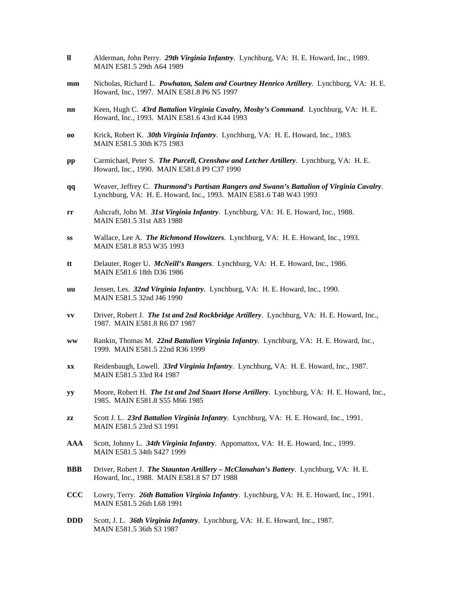- **ll** Alderman, John Perry. *29th Virginia Infantry*. Lynchburg, VA: H. E. Howard, Inc., 1989. MAIN E581.5 29th A64 1989
- **mm** Nicholas, Richard L. *Powhatan, Salem and Courtney Henrico Artillery*. Lynchburg, VA: H. E. Howard, Inc., 1997. MAIN E581.8 P6 N5 1997
- **nn** Keen, Hugh C. *43rd Battalion Virginia Cavalry, Mosby's Command*. Lynchburg, VA: H. E. Howard, Inc., 1993. MAIN E581.6 43rd K44 1993
- **oo** Krick, Robert K. *30th Virginia Infantry*. Lynchburg, VA: H. E. Howard, Inc., 1983. MAIN E581.5 30th K75 1983
- **pp** Carmichael, Peter S. *The Purcell, Crenshaw and Letcher Artillery*. Lynchburg, VA: H. E. Howard, Inc., 1990. MAIN E581.8 P9 C37 1990
- **qq** Weaver, Jeffrey C. *Thurmond's Partisan Rangers and Swann's Battalion of Virginia Cavalry*. Lynchburg, VA: H. E. Howard, Inc., 1993. MAIN E581.6 T48 W43 1993
- **rr** Ashcraft, John M. *31st Virginia Infantry*. Lynchburg, VA: H. E. Howard, Inc., 1988. MAIN E581.5 31st A83 1988
- **ss** Wallace, Lee A. *The Richmond Howitzers*. Lynchburg, VA: H. E. Howard, Inc., 1993. MAIN E581.8 R53 W35 1993
- **tt** Delauter, Roger U. *McNeill's Rangers*. Lynchburg, VA: H. E. Howard, Inc., 1986. MAIN E581.6 18th D36 1986
- **uu** Jensen, Les. *32nd Virginia Infantry*. Lynchburg, VA: H. E. Howard, Inc., 1990. MAIN E581.5 32nd J46 1990
- **vv** Driver, Robert J. *The 1st and 2nd Rockbridge Artillery*. Lynchburg, VA: H. E. Howard, Inc., 1987. MAIN E581.8 R6 D7 1987
- **ww** Rankin, Thomas M. *22nd Battalion Virginia Infantry*. Lynchburg, VA: H. E. Howard, Inc., 1999. MAIN E581.5 22nd R36 1999
- **xx** Reidenbaugh, Lowell. *33rd Virginia Infantry*. Lynchburg, VA: H. E. Howard, Inc., 1987. MAIN E581.5 33rd R4 1987
- **yy** Moore, Robert H. *The 1st and 2nd Stuart Horse Artillery*. Lynchburg, VA: H. E. Howard, Inc., 1985. MAIN E581.8 S55 M66 1985
- **zz** Scott J. L. *23rd Battalion Virginia Infantry*. Lynchburg, VA: H. E. Howard, Inc., 1991. MAIN E581.5 23rd S3 1991
- **AAA** Scott, Johnny L. *34th Virginia Infantry*. Appomattox, VA: H. E. Howard, Inc., 1999. MAIN E581.5 34th S427 1999
- **BBB** Driver, Robert J. *The Staunton Artillery – McClanahan's Battery*. Lynchburg, VA: H. E. Howard, Inc., 1988. MAIN E581.8 S7 D7 1988
- **CCC** Lowry, Terry. *26th Battalion Virginia Infantry*. Lynchburg, VA: H. E. Howard, Inc., 1991. MAIN E581.5 26th L68 1991
- **DDD** Scott, J. L. *36th Virginia Infantry*. Lynchburg, VA: H. E. Howard, Inc., 1987. MAIN E581.5 36th S3 1987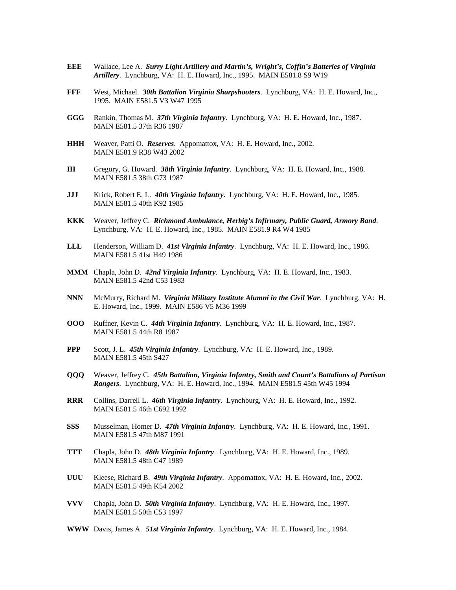- **EEE** Wallace, Lee A. *Surry Light Artillery and Martin's, Wright's, Coffin's Batteries of Virginia Artillery*. Lynchburg, VA: H. E. Howard, Inc., 1995. MAIN E581.8 S9 W19
- **FFF** West, Michael. *30th Battalion Virginia Sharpshooters*. Lynchburg, VA: H. E. Howard, Inc., 1995. MAIN E581.5 V3 W47 1995
- **GGG** Rankin, Thomas M. *37th Virginia Infantry*. Lynchburg, VA: H. E. Howard, Inc., 1987. MAIN E581.5 37th R36 1987
- **HHH** Weaver, Patti O. *Reserves*. Appomattox, VA: H. E. Howard, Inc., 2002. MAIN E581.9 R38 W43 2002
- **III** Gregory, G. Howard. *38th Virginia Infantry*. Lynchburg, VA: H. E. Howard, Inc., 1988. MAIN E581.5 38th G73 1987
- **JJJ** Krick, Robert E. L. *40th Virginia Infantry*. Lynchburg, VA: H. E. Howard, Inc., 1985. MAIN E581.5 40th K92 1985
- **KKK** Weaver, Jeffrey C. *Richmond Ambulance, Herbig's Infirmary, Public Guard, Armory Band*. Lynchburg, VA: H. E. Howard, Inc., 1985. MAIN E581.9 R4 W4 1985
- **LLL** Henderson, William D. *41st Virginia Infantry*. Lynchburg, VA: H. E. Howard, Inc., 1986. MAIN E581.5 41st H49 1986
- **MMM** Chapla, John D. *42nd Virginia Infantry*. Lynchburg, VA: H. E. Howard, Inc., 1983. MAIN E581.5 42nd C53 1983
- **NNN** McMurry, Richard M. *Virginia Military Institute Alumni in the Civil War*. Lynchburg, VA: H. E. Howard, Inc., 1999. MAIN E586 V5 M36 1999
- **OOO** Ruffner, Kevin C. *44th Virginia Infantry*. Lynchburg, VA: H. E. Howard, Inc., 1987. MAIN E581.5 44th R8 1987
- **PPP** Scott, J. L. *45th Virginia Infantry*. Lynchburg, VA: H. E. Howard, Inc., 1989. MAIN E581.5 45th S427
- **QQQ** Weaver, Jeffrey C. *45th Battalion, Virginia Infantry, Smith and Count's Battalions of Partisan Rangers*. Lynchburg, VA: H. E. Howard, Inc., 1994. MAIN E581.5 45th W45 1994
- **RRR** Collins, Darrell L. *46th Virginia Infantry*. Lynchburg, VA: H. E. Howard, Inc., 1992. MAIN E581.5 46th C692 1992
- **SSS** Musselman, Homer D. *47th Virginia Infantry*. Lynchburg, VA: H. E. Howard, Inc., 1991. MAIN E581.5 47th M87 1991
- **TTT** Chapla, John D. *48th Virginia Infantry*. Lynchburg, VA: H. E. Howard, Inc., 1989. MAIN E581.5 48th C47 1989
- **UUU** Kleese, Richard B. *49th Virginia Infantry*. Appomattox, VA: H. E. Howard, Inc., 2002. MAIN E581.5 49th K54 2002
- **VVV** Chapla, John D. *50th Virginia Infantry*. Lynchburg, VA: H. E. Howard, Inc., 1997. MAIN E581.5 50th C53 1997
- **WWW** Davis, James A. *51st Virginia Infantry*. Lynchburg, VA: H. E. Howard, Inc., 1984.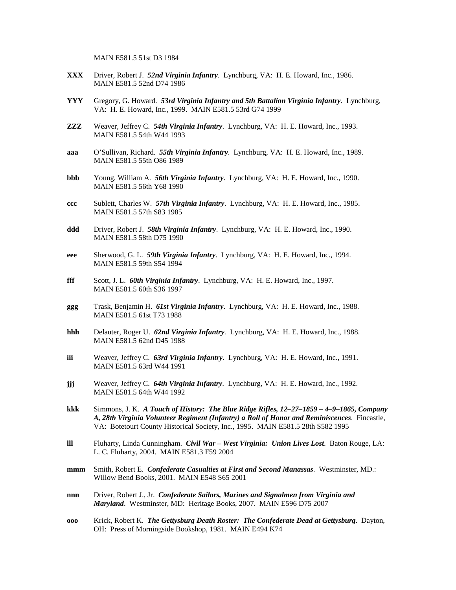MAIN E581.5 51st D3 1984

- **XXX** Driver, Robert J. *52nd Virginia Infantry*. Lynchburg, VA: H. E. Howard, Inc., 1986. MAIN E581.5 52nd D74 1986
- **YYY** Gregory, G. Howard. *53rd Virginia Infantry and 5th Battalion Virginia Infantry*. Lynchburg, VA: H. E. Howard, Inc., 1999. MAIN E581.5 53rd G74 1999
- **ZZZ** Weaver, Jeffrey C. *54th Virginia Infantry*. Lynchburg, VA: H. E. Howard, Inc., 1993. MAIN E581.5 54th W44 1993
- **aaa** O'Sullivan, Richard. *55th Virginia Infantry*. Lynchburg, VA: H. E. Howard, Inc., 1989. MAIN E581.5 55th O86 1989
- **bbb** Young, William A. *56th Virginia Infantry*. Lynchburg, VA: H. E. Howard, Inc., 1990. MAIN E581.5 56th Y68 1990
- **ccc** Sublett, Charles W. *57th Virginia Infantry*. Lynchburg, VA: H. E. Howard, Inc., 1985. MAIN E581.5 57th S83 1985
- **ddd** Driver, Robert J. *58th Virginia Infantry*. Lynchburg, VA: H. E. Howard, Inc., 1990. MAIN E581.5 58th D75 1990
- **eee** Sherwood, G. L. *59th Virginia Infantry*. Lynchburg, VA: H. E. Howard, Inc., 1994. MAIN E581.5 59th S54 1994
- **fff** Scott, J. L. *60th Virginia Infantry*. Lynchburg, VA: H. E. Howard, Inc., 1997. MAIN E581.5 60th S36 1997
- **ggg** Trask, Benjamin H. *61st Virginia Infantry*. Lynchburg, VA: H. E. Howard, Inc., 1988. MAIN E581.5 61st T73 1988
- **hhh** Delauter, Roger U. *62nd Virginia Infantry*. Lynchburg, VA: H. E. Howard, Inc., 1988. MAIN E581.5 62nd D45 1988
- **iii** Weaver, Jeffrey C. *63rd Virginia Infantry*. Lynchburg, VA: H. E. Howard, Inc., 1991. MAIN E581.5 63rd W44 1991
- **jjj** Weaver, Jeffrey C. *64th Virginia Infantry*. Lynchburg, VA: H. E. Howard, Inc., 1992. MAIN E581.5 64th W44 1992
- **kkk** Simmons, J. K. *A Touch of History: The Blue Ridge Rifles, 12–27–1859 – 4–9–1865, Company A, 28th Virginia Volunteer Regiment (Infantry) a Roll of Honor and Reminiscences*. Fincastle, VA: Botetourt County Historical Society, Inc., 1995. MAIN E581.5 28th S582 1995
- **lll** Fluharty, Linda Cunningham. *Civil War – West Virginia: Union Lives Lost*. Baton Rouge, LA: L. C. Fluharty, 2004. MAIN E581.3 F59 2004
- **mmm** Smith, Robert E. *Confederate Casualties at First and Second Manassas*. Westminster, MD.: Willow Bend Books, 2001. MAIN E548 S65 2001
- **nnn** Driver, Robert J., Jr. *Confederate Sailors, Marines and Signalmen from Virginia and Maryland*. Westminster, MD: Heritage Books, 2007. MAIN E596 D75 2007
- **ooo** Krick, Robert K. *The Gettysburg Death Roster: The Confederate Dead at Gettysburg*. Dayton, OH: Press of Morningside Bookshop, 1981. MAIN E494 K74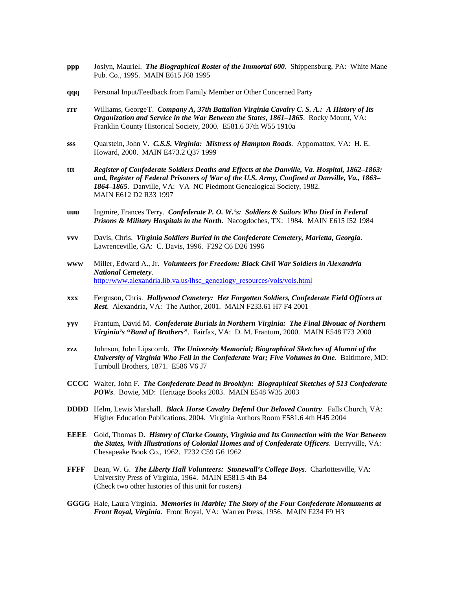- **ppp** Joslyn, Mauriel. *The Biographical Roster of the Immortal 600*. Shippensburg, PA: White Mane Pub. Co., 1995. MAIN E615 J68 1995
- **qqq** Personal Input/Feedback from Family Member or Other Concerned Party
- **rrr** Williams, GeorgeT. *Company A, 37th Battalion Virginia Cavalry C. S. A.: A History of Its Organization and Service in the War Between the States, 1861–1865*. Rocky Mount, VA: Franklin County Historical Society, 2000. E581.6 37th W55 1910a
- **sss** Quarstein, John V. *C.S.S. Virginia: Mistress of Hampton Roads*. Appomattox, VA: H. E. Howard, 2000. MAIN E473.2 Q37 1999
- **ttt** *Register of Confederate Soldiers Deaths and Effects at the Danville, Va. Hospital, 1862–1863: and, Register of Federal Prisoners of War of the U.S. Army, Confined at Danville, Va., 1863– 1864–1865*. Danville, VA: VA–NC Piedmont Genealogical Society, 1982. MAIN E612 D2 R33 1997
- **uuu** Ingmire, Frances Terry. *Confederate P. O. W.'s: Soldiers & Sailors Who Died in Federal Prisons & Military Hospitals in the North*. Nacogdoches, TX: 1984. MAIN E615 I52 1984
- **vvv** Davis, Chris. *Virginia Soldiers Buried in the Confederate Cemetery, Marietta, Georgia*. Lawrenceville, GA: C. Davis, 1996. F292 C6 D26 1996
- **www** Miller, Edward A., Jr. *Volunteers for Freedom: Black Civil War Soldiers in Alexandria National Cemetery.*<br>http://www.alexandria.lib.va.us/lhsc\_genealogy\_resources/vols/vols.html
- **xxx** Ferguson, Chris. *Hollywood Cemetery: Her Forgotten Soldiers, Confederate Field Officers at Rest*. Alexandria, VA: The Author, 2001. MAIN F233.61 H7 F4 2001
- **yyy** Frantum, David M. *Confederate Burials in Northern Virginia: The Final Bivouac of Northern Virginia's "Band of Brothers"*. Fairfax, VA: D. M. Frantum, 2000. MAIN E548 F73 2000
- **zzz** Johnson, John Lipscomb. *The University Memorial; Biographical Sketches of Alumni of the University of Virginia Who Fell in the Confederate War; Five Volumes in One*. Baltimore, MD: Turnbull Brothers, 1871. E586 V6 J7
- **CCCC** Walter, John F. *The Confederate Dead in Brooklyn: Biographical Sketches of 513 Confederate POWs*. Bowie, MD: Heritage Books 2003. MAIN E548 W35 2003
- **DDDD** Helm, Lewis Marshall. *Black Horse Cavalry Defend Our Beloved Country*. Falls Church, VA: Higher Education Publications, 2004. Virginia Authors Room E581.6 4th H45 2004
- **EEEE** Gold, Thomas D. *History of Clarke County, Virginia and Its Connection with the War Between the States, With Illustrations of Colonial Homes and of Confederate Officers*. Berryville, VA: Chesapeake Book Co., 1962. F232 C59 G6 1962
- **FFFF** Bean, W. G. *The Liberty Hall Volunteers: Stonewall's College Boys*. Charlottesville, VA: University Press of Virginia, 1964. MAIN E581.5 4th B4 (Check two other histories of this unit for rosters)
- **GGGG** Hale, Laura Virginia. *Memories in Marble; The Story of the Four Confederate Monuments at Front Royal, Virginia*. Front Royal, VA: Warren Press, 1956. MAIN F234 F9 H3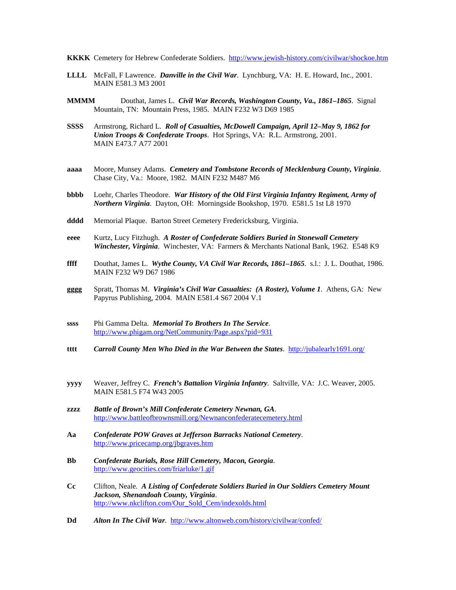- **KKKK** Cemetery for Hebrew Confederate Soldiers. <http://www.jewish-history.com/civilwar/shockoe.htm>
- **LLLL** McFall, F Lawrence. *Danville in the Civil War*. Lynchburg, VA: H. E. Howard, Inc., 2001. MAIN E581.3 M3 2001
- **MMMM** Douthat, James L. *Civil War Records, Washington County, Va., 1861–1865*. Signal Mountain, TN: Mountain Press, 1985. MAIN F232 W3 D69 1985
- **SSSS** Armstrong, Richard L. *Roll of Casualties, McDowell Campaign, April 12–May 9, 1862 for Union Troops & Confederate Troops*. Hot Springs, VA: R.L. Armstrong, 2001. MAIN E473.7 A77 2001
- **aaaa** Moore, Munsey Adams. *Cemetery and Tombstone Records of Mecklenburg County, Virginia*. Chase City, Va.: Moore, 1982. MAIN F232 M487 M6
- **bbbb** Loehr, Charles Theodore. *War History of the Old First Virginia Infantry Regiment, Army of Northern Virginia*. Dayton, OH: Morningside Bookshop, 1970. E581.5 1st L8 1970
- **dddd** Memorial Plaque. Barton Street Cemetery Fredericksburg, Virginia.
- **eeee** Kurtz, Lucy Fitzhugh. *A Roster of Confederate Soldiers Buried in Stonewall Cemetery Winchester, Virginia*. Winchester, VA: Farmers & Merchants National Bank, 1962. E548 K9
- **ffff** Douthat, James L. *Wythe County, VA Civil War Records, 1861–1865*. s.l.: J. L. Douthat, 1986. MAIN F232 W9 D67 1986
- **gggg** Spratt, Thomas M. *Virginia's Civil War Casualties: (A Roster), Volume 1*. Athens, GA: New Papyrus Publishing, 2004. MAIN E581.4 S67 2004 V.1
- **ssss** Phi Gamma Delta. *Memorial To Brothers In The Service*. <http://www.phigam.org/NetCommunity/Page.aspx?pid=931>
- **tttt** *Carroll County Men Who Died in the War Between the States*. <http://jubalearly1691.org/>
- **yyyy** Weaver, Jeffrey C. *French's Battalion Virginia Infantry*. Saltville, VA: J.C. Weaver, 2005. MAIN E581.5 F74 W43 2005
- **zzzz** *Battle of Brown's Mill Confederate Cemetery Newnan, GA*. <http://www.battleofbrownsmill.org/Newnanconfederatecemetery.html>
- **Aa** *Confederate POW Graves at Jefferson Barracks National Cemetery*. <http://www.pricecamp.org/jbgraves.htm>
- **Bb** *Confederate Burials, Rose Hill Cemetery, Macon, Georgia*. <http://www.geocities.com/friarluke/1.gif>
- **Cc** Clifton, Neale. *A Listing of Confederate Soldiers Buried in Our Soldiers Cemetery Mount Jackson, Shenandoah County, Virginia*. [http://www.nkclifton.com/Our\\_Sold\\_Cem/indexolds.html](http://www.nkclifton.com/Our_Sold_Cem/indexolds.html)
- **Dd** *Alton In The Civil War*. <http://www.altonweb.com/history/civilwar/confed/>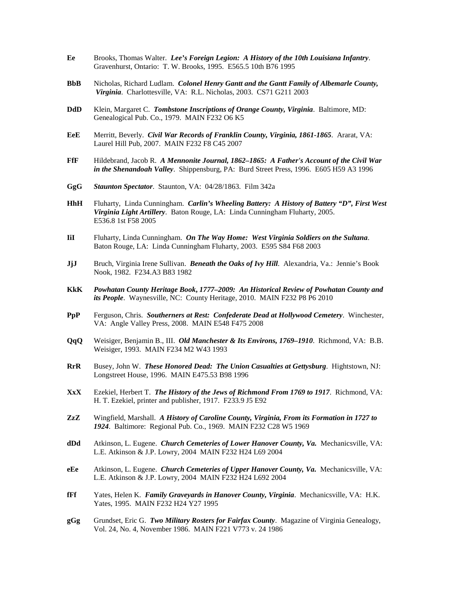- **Ee** Brooks, Thomas Walter. *Lee's Foreign Legion: A History of the 10th Louisiana Infantry*. Gravenhurst, Ontario: T. W. Brooks, 1995. E565.5 10th B76 1995
- **BbB** Nicholas, Richard Ludlam. *Colonel Henry Gantt and the Gantt Family of Albemarle County, Virginia*. Charlottesville, VA: R.L. Nicholas, 2003. CS71 G211 2003
- **DdD** Klein, Margaret C. *Tombstone Inscriptions of Orange County, Virginia*. Baltimore, MD: Genealogical Pub. Co., 1979. MAIN F232 O6 K5
- **EeE** Merritt, Beverly. *Civil War Records of Franklin County, Virginia, 1861-1865*. Ararat, VA: Laurel Hill Pub, 2007. MAIN F232 F8 C45 2007
- **FfF** Hildebrand, Jacob R. *A Mennonite Journal, 1862–1865: A Father's Account of the Civil War in the Shenandoah Valley*. Shippensburg, PA: Burd Street Press, 1996. E605 H59 A3 1996
- **GgG** *Staunton Spectator*. Staunton, VA: 04/28/1863. Film 342a
- **HhH** Fluharty, Linda Cunningham. *Carlin's Wheeling Battery: A History of Battery "D", First West Virginia Light Artillery*. Baton Rouge, LA: Linda Cunningham Fluharty, 2005. E536.8 1st F58 2005
- **IiI** Fluharty, Linda Cunningham. *On The Way Home: West Virginia Soldiers on the Sultana*. Baton Rouge, LA: Linda Cunningham Fluharty, 2003. E595 S84 F68 2003
- **JjJ** Bruch, Virginia Irene Sullivan. *Beneath the Oaks of Ivy Hill*. Alexandria, Va.: Jennie's Book Nook, 1982. F234.A3 B83 1982
- **KkK** *Powhatan County Heritage Book***,** *1777–2009: An Historical Review of Powhatan County and its People*. Waynesville, NC: County Heritage, 2010. MAIN F232 P8 P6 2010
- **PpP** Ferguson, Chris. *Southerners at Rest: Confederate Dead at Hollywood Cemetery*. Winchester, VA: Angle Valley Press, 2008. MAIN E548 F475 2008
- **QqQ** Weisiger, Benjamin B., III. *Old Manchester & Its Environs, 1769–1910*. Richmond, VA: B.B. Weisiger, 1993. MAIN F234 M2 W43 1993
- **RrR** Busey, John W. *These Honored Dead: The Union Casualties at Gettysburg*. Hightstown, NJ: Longstreet House, 1996. MAIN E475.53 B98 1996
- **XxX** Ezekiel, Herbert T. *The History of the Jews of Richmond From 1769 to 1917*. Richmond, VA: H. T. Ezekiel, printer and publisher, 1917. F233.9 J5 E92
- **ZzZ** Wingfield, Marshall. *A History of Caroline County, Virginia, From its Formation in 1727 to 1924*. Baltimore: Regional Pub. Co., 1969. MAIN F232 C28 W5 1969
- **dDd** Atkinson, L. Eugene. *Church Cemeteries of Lower Hanover County, Va.* Mechanicsville, VA: L.E. Atkinson & J.P. Lowry, 2004 MAIN F232 H24 L69 2004
- **eEe** Atkinson, L. Eugene. *Church Cemeteries of Upper Hanover County, Va.* Mechanicsville, VA: L.E. Atkinson & J.P. Lowry, 2004 MAIN F232 H24 L692 2004
- **fFf** Yates, Helen K. *Family Graveyards in Hanover County, Virginia*. Mechanicsville, VA: H.K. Yates, 1995. MAIN F232 H24 Y27 1995
- **gGg** Grundset, Eric G. *Two Military Rosters for Fairfax County*. Magazine of Virginia Genealogy, Vol. 24, No. 4, November 1986. MAIN F221 V773 v. 24 1986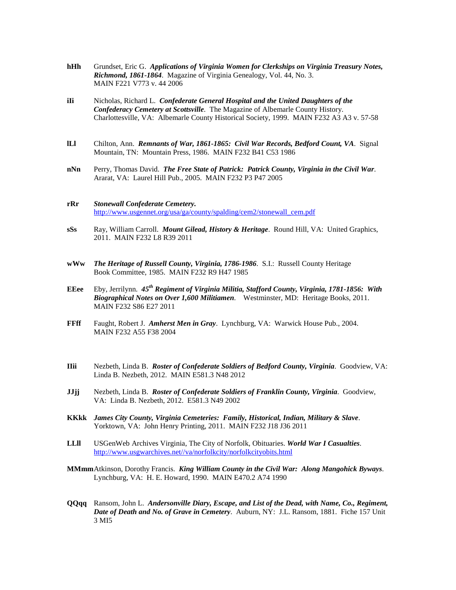- **hHh** Grundset, Eric G. *Applications of Virginia Women for Clerkships on Virginia Treasury Notes, Richmond, 1861-1864*. Magazine of Virginia Genealogy, Vol. 44, No. 3. MAIN F221 V773 v. 44 2006
- **iIi** Nicholas, Richard L. *Confederate General Hospital and the United Daughters of the Confederacy Cemetery at Scottsville*. The Magazine of Albemarle County History. Charlottesville, VA: Albemarle County Historical Society, 1999. MAIN F232 A3 A3 v. 57-58
- **lLl** Chilton, Ann. *Remnants of War, 1861-1865: Civil War Records, Bedford Count, VA*. Signal Mountain, TN: Mountain Press, 1986. MAIN F232 B41 C53 1986
- **nNn** Perry, Thomas David. *The Free State of Patrick: Patrick County, Virginia in the Civil War*. Ararat, VA: Laurel Hill Pub., 2005. MAIN F232 P3 P47 2005
- **rRr** *Stonewall Confederate Cemetery.* [http://www.usgennet.org/usa/ga/county/spalding/cem2/stonewall\\_cem.pdf](http://www.usgennet.org/usa/ga/county/spalding/cem2/stonewall_cem.pdf)
- **sSs** Ray, William Carroll. *Mount Gilead, History & Heritage*. Round Hill, VA: United Graphics, 2011. MAIN F232 L8 R39 2011
- **wWw** *The Heritage of Russell County, Virginia, 1786-1986*. S.I.: Russell County Heritage Book Committee, 1985. MAIN F232 R9 H47 1985
- **EEee** Eby, Jerrilynn. *45th Regiment of Virginia Militia, Stafford County, Virginia, 1781-1856: With Biographical Notes on Over 1,600 Militiamen*. Westminster, MD: Heritage Books, 2011. MAIN F232 S86 E27 2011
- **FFff** Faught, Robert J. *Amherst Men in Gray*. Lynchburg, VA: Warwick House Pub., 2004. MAIN F232 A55 F38 2004
- **IIii** Nezbeth, Linda B. *Roster of Confederate Soldiers of Bedford County, Virginia*. Goodview, VA: Linda B. Nezbeth, 2012. MAIN E581.3 N48 2012
- **JJjj** Nezbeth, Linda B. *Roster of Confederate Soldiers of Franklin County, Virginia*. Goodview, VA: Linda B. Nezbeth, 2012. E581.3 N49 2002
- **KKkk** *James City County, Virginia Cemeteries: Family, Historical, Indian, Military & Slave*. Yorktown, VA: John Henry Printing, 2011. MAIN F232 J18 J36 2011
- **LLll** USGenWeb Archives Virginia, The City of Norfolk, Obituaries. *World War I Casualties*. [http://www.usgwarchives.net//va/norfolkcity/norfolkcityobits.html](http://www.usgwarchives.net/va/norfolkcity/norfolkcityobits.html)
- **MMmm**Atkinson, Dorothy Francis. *King William County in the Civil War: Along Mangohick Byways*. Lynchburg, VA: H. E. Howard, 1990. MAIN E470.2 A74 1990
- **QQqq** Ransom, John L. *Andersonville Diary, Escape, and List of the Dead, with Name, Co., Regiment, Date of Death and No. of Grave in Cemetery*. Auburn, NY: J.L. Ransom, 1881. Fiche 157 Unit 3 MI5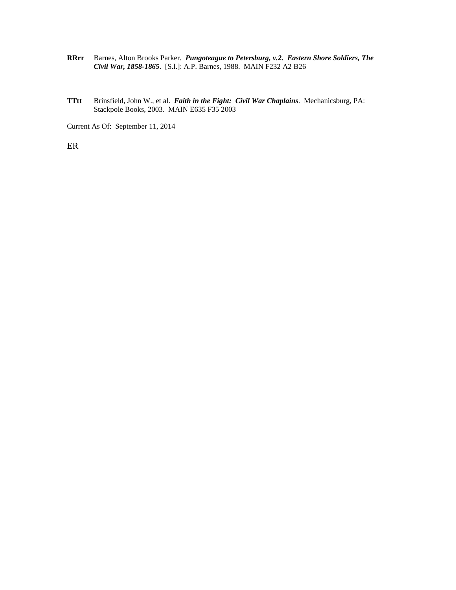- **RRrr** Barnes, Alton Brooks Parker. *Pungoteague to Petersburg, v.2. Eastern Shore Soldiers, The Civil War, 1858-1865*. [S.l.]: A.P. Barnes, 1988. MAIN F232 A2 B26
- **TTtt** Brinsfield, John W., et al. *Faith in the Fight: Civil War Chaplains*. Mechanicsburg, PA: Stackpole Books, 2003. MAIN E635 F35 2003

Current As Of: September 11, 2014

ER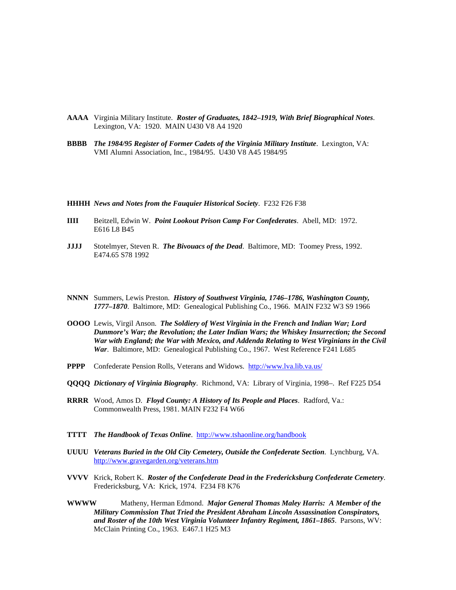- **AAAA** Virginia Military Institute. *Roster of Graduates, 1842–1919, With Brief Biographical Notes*. Lexington, VA: 1920. MAIN U430 V8 A4 1920
- **BBBB** *The 1984/95 Register of Former Cadets of the Virginia Military Institute*. Lexington, VA: VMI Alumni Association, Inc., 1984/95. U430 V8 A45 1984/95

**HHHH** *News and Notes from the Fauquier Historical Society*. F232 F26 F38

- **IIII** Beitzell, Edwin W. *Point Lookout Prison Camp For Confederates*. Abell, MD: 1972. E616 L8 B45
- **JJJJ** Stotelmyer, Steven R. *The Bivouacs of the Dead*. Baltimore, MD: Toomey Press, 1992. E474.65 S78 1992
- **NNNN** Summers, Lewis Preston. *History of Southwest Virginia, 1746–1786, Washington County, 1777–1870*. Baltimore, MD: Genealogical Publishing Co., 1966. MAIN F232 W3 S9 1966
- **OOOO** Lewis, Virgil Anson. *The Soldiery of West Virginia in the French and Indian War; Lord Dunmore's War; the Revolution; the Later Indian Wars; the Whiskey Insurrection; the Second War with England; the War with Mexico, and Addenda Relating to West Virginians in the Civil War*. Baltimore, MD: Genealogical Publishing Co., 1967. West Reference F241 L685
- **PPPP** Confederate Pension Rolls, Veterans and Widows. <http://www.lva.lib.va.us/>
- **QQQQ** *Dictionary of Virginia Biography*. Richmond, VA: Library of Virginia, 1998–. Ref F225 D54
- **RRRR** Wood, Amos D. *Floyd County: A History of Its People and Places*. Radford, Va.: Commonwealth Press, 1981. MAIN F232 F4 W66
- **TTTT** *The Handbook of Texas Online*. <http://www.tshaonline.org/handbook>
- **UUUU** *Veterans Buried in the Old City Cemetery, Outside the Confederate Section*. Lynchburg, VA. <http://www.gravegarden.org/veterans.htm>
- **VVVV** Krick, Robert K. *Roster of the Confederate Dead in the Fredericksburg Confederate Cemetery*. Fredericksburg, VA: Krick, 1974. F234 F8 K76
- **WWWW** Matheny, Herman Edmond. *Major General Thomas Maley Harris: A Member of the Military Commission That Tried the President Abraham Lincoln Assassination Conspirators, and Roster of the 10th West Virginia Volunteer Infantry Regiment, 1861–1865*. Parsons, WV: McClain Printing Co., 1963. E467.1 H25 M3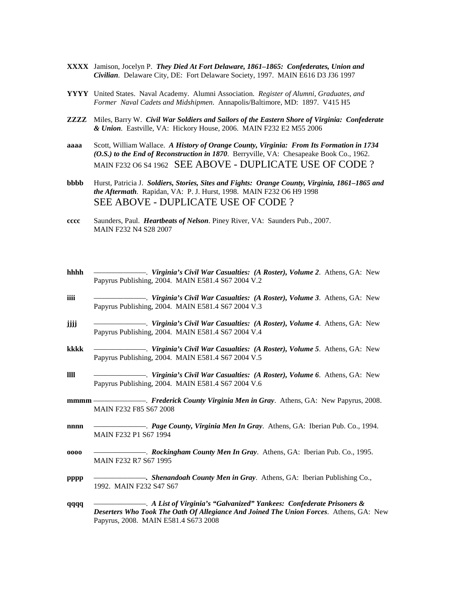- **XXXX** Jamison, Jocelyn P. *They Died At Fort Delaware, 1861–1865: Confederates, Union and Civilian*. Delaware City, DE: Fort Delaware Society, 1997. MAIN E616 D3 J36 1997
- **YYYY** United States. Naval Academy. Alumni Association. *Register of Alumni, Graduates, and Former Naval Cadets and Midshipmen*. Annapolis/Baltimore, MD: 1897. V415 H5
- **ZZZZ** Miles, Barry W. *Civil War Soldiers and Sailors of the Eastern Shore of Virginia: Confederate & Union*. Eastville, VA: Hickory House, 2006. MAIN F232 E2 M55 2006
- **aaaa** Scott, William Wallace. *A History of Orange County, Virginia: From Its Formation in 1734 (O.S.) to the End of Reconstruction in 1870*. Berryville, VA: Chesapeake Book Co., 1962. MAIN F232 O6 S4 1962 SEE ABOVE - DUPLICATE USE OF CODE ?
- **bbbb** Hurst, Patricia J. *Soldiers, Stories, Sites and Fights: Orange County, Virginia, 1861–1865 and the Aftermath*. Rapidan, VA: P. J. Hurst, 1998. MAIN F232 O6 H9 1998 SEE ABOVE - DUPLICATE USE OF CODE ?
- **cccc** Saunders, Paul. *Heartbeats of Nelson*. Piney River, VA: Saunders Pub., 2007. MAIN F232 N4 S28 2007
- **hhhh** ––––––––––––––. *Virginia's Civil War Casualties: (A Roster), Volume 2*. Athens, GA: New Papyrus Publishing, 2004. MAIN E581.4 S67 2004 V.2
- **iiii** ––––––––––––. *Virginia's Civil War Casualties: (A Roster), Volume 3.* Athens, GA: New Papyrus Publishing, 2004. MAIN E581.4 S67 2004 V.3
- **jjjj** ––––––––––––––. *Virginia's Civil War Casualties: (A Roster), Volume 4*. Athens, GA: New Papyrus Publishing, 2004. MAIN E581.4 S67 2004 V.4
- **kkkk** ––––––––––––––. *Virginia's Civil War Casualties: (A Roster), Volume 5*. Athens, GA: New Papyrus Publishing, 2004. MAIN E581.4 S67 2004 V.5
- **llll** ––––––––––––––. *Virginia's Civil War Casualties: (A Roster), Volume 6*. Athens, GA: New Papyrus Publishing, 2004. MAIN E581.4 S67 2004 V.6
- **mmmm** ––––––––––––––. *Frederick County Virginia Men in Gray*. Athens, GA: New Papyrus, 2008. MAIN F232 F85 S67 2008
- **nnnn** ––––––––––––––. *Page County, Virginia Men In Gray*. Athens, GA: Iberian Pub. Co., 1994. MAIN F232 P1 S67 1994
- **oooo** ––––––––––––––. *Rockingham County Men In Gray*. Athens, GA: Iberian Pub. Co., 1995. MAIN F232 R7 S67 1995
- **pppp** ––––––––––––––. *Shenandoah County Men in Gray*. Athens, GA: Iberian Publishing Co., 1992. MAIN F232 S47 S67
- **qqqq** ––––––––––––––. *A List of Virginia's "Galvanized" Yankees: Confederate Prisoners & Deserters Who Took The Oath Of Allegiance And Joined The Union Forces*. Athens, GA: New Papyrus, 2008. MAIN E581.4 S673 2008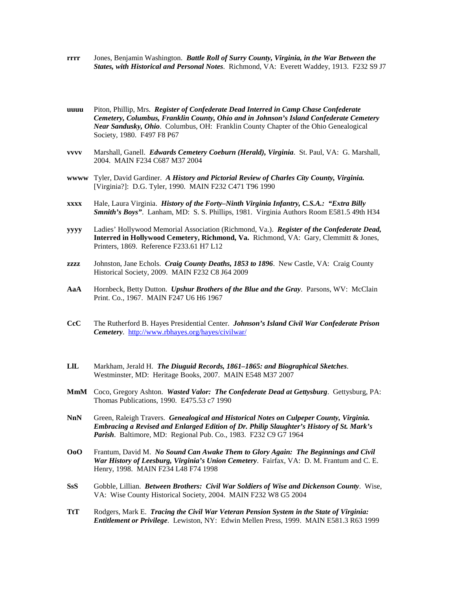- **rrrr** Jones, Benjamin Washington. *Battle Roll of Surry County, Virginia, in the War Between the States, with Historical and Personal Notes*. Richmond, VA: Everett Waddey, 1913. F232 S9 J7
- **uuuu** Piton, Phillip, Mrs. *Register of Confederate Dead Interred in Camp Chase Confederate Cemetery, Columbus, Franklin County, Ohio and in Johnson's Island Confederate Cemetery Near Sandusky, Ohio*. Columbus, OH: Franklin County Chapter of the Ohio Genealogical Society, 1980. F497 F8 P67
- **vvvv** Marshall, Ganell. *Edwards Cemetery Coeburn (Herald), Virginia*. St. Paul, VA: G. Marshall, 2004. MAIN F234 C687 M37 2004
- **wwww** Tyler, David Gardiner. *A History and Pictorial Review of Charles City County, Virginia.* [Virginia?]: D.G. Tyler, 1990. MAIN F232 C471 T96 1990
- **xxxx** Hale, Laura Virginia. *History of the Forty–Ninth Virginia Infantry, C.S.A.: "Extra Billy Smnith's Boys"*.Lanham, MD: S. S. Phillips, 1981. Virginia Authors Room E581.5 49th H34
- **yyyy** Ladies' Hollywood Memorial Association (Richmond, Va.). *Register of the Confederate Dead,*  **Interred in Hollywood Cemetery, Richmond, Va.** Richmond, VA: Gary, Clemmitt & Jones, Printers, 1869. Reference F233.61 H7 L12
- **zzzz** Johnston, Jane Echols. *Craig County Deaths, 1853 to 1896*. New Castle, VA: Craig County Historical Society, 2009. MAIN F232 C8 J64 2009
- **AaA** Hornbeck, Betty Dutton. *Upshur Brothers of the Blue and the Gray*. Parsons, WV: McClain Print. Co., 1967. MAIN F247 U6 H6 1967
- **CcC** The Rutherford B. Hayes Presidential Center. *Johnson's Island Civil War Confederate Prison Cemetery*. <http://www.rbhayes.org/hayes/civilwar/>
- **LlL** Markham, Jerald H. *The Diuguid Records, 1861–1865: and Biographical Sketches*. Westminster, MD: Heritage Books, 2007. MAIN E548 M37 2007
- **MmM** Coco, Gregory Ashton. *Wasted Valor: The Confederate Dead at Gettysburg*. Gettysburg, PA: Thomas Publications, 1990. E475.53 c7 1990
- **NnN** Green, Raleigh Travers. *Genealogical and Historical Notes on Culpeper County, Virginia. Embracing a Revised and Enlarged Edition of Dr. Philip Slaughter's History of St. Mark's Parish*. Baltimore, MD: Regional Pub. Co., 1983. F232 C9 G7 1964
- **OoO** Frantum, David M. *No Sound Can Awake Them to Glory Again: The Beginnings and Civil War History of Leesburg, Virginia's Union Cemetery*. Fairfax, VA: D. M. Frantum and C. E. Henry, 1998. MAIN F234 L48 F74 1998
- **SsS** Gobble, Lillian. *Between Brothers: Civil War Soldiers of Wise and Dickenson County*. Wise, VA: Wise County Historical Society, 2004. MAIN F232 W8 G5 2004
- **TtT** Rodgers, Mark E. *Tracing the Civil War Veteran Pension System in the State of Virginia: Entitlement or Privilege*. Lewiston, NY: Edwin Mellen Press, 1999. MAIN E581.3 R63 1999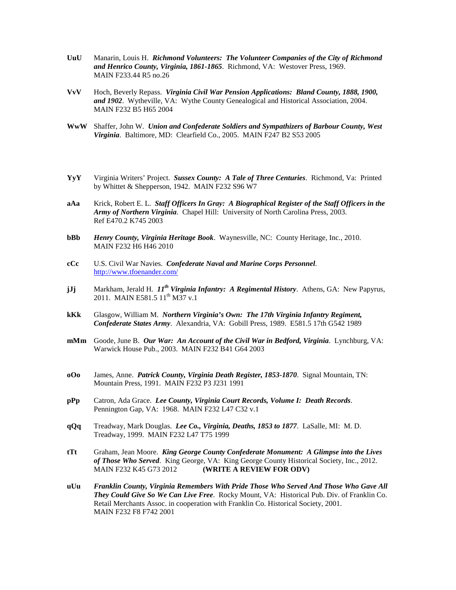- **UuU** Manarin, Louis H. *Richmond Volunteers: The Volunteer Companies of the City of Richmond and Henrico County, Virginia, 1861-1865*. Richmond, VA: Westover Press, 1969. MAIN F233.44 R5 no.26
- **VvV** Hoch, Beverly Repass. *Virginia Civil War Pension Applications: Bland County, 1888, 1900, and 1902*. Wytheville, VA: Wythe County Genealogical and Historical Association, 2004. MAIN F232 B5 H65 2004
- **WwW** Shaffer, John W. *Union and Confederate Soldiers and Sympathizers of Barbour County, West Virginia*. Baltimore, MD: Clearfield Co., 2005. MAIN F247 B2 S53 2005
- **YyY** Virginia Writers' Project. *Sussex County: A Tale of Three Centuries*. Richmond, Va: Printed by Whittet & Shepperson, 1942. MAIN F232 S96 W7
- **aAa** Krick, Robert E. L. *Staff Officers In Gray: A Biographical Register of the Staff Officers in the Army of Northern Virginia*. Chapel Hill: University of North Carolina Press, 2003. Ref E470.2 K745 2003
- **bBb** *Henry County, Virginia Heritage Book*. Waynesville, NC: County Heritage, Inc., 2010. MAIN F232 H6 H46 2010
- **cCc** U.S. Civil War Navies. *Confederate Naval and Marine Corps Personnel*. <http://www.tfoenander.com/>
- **jJj** Markham, Jerald H. *11th Virginia Infantry: A Regimental History*. Athens, GA: New Papyrus, 2011. MAIN E581.5 11<sup>th</sup> M37 v.1
- **kKk** Glasgow, William M. *Northern Virginia's Own: The 17th Virginia Infantry Regiment, Confederate States Army*. Alexandria, VA: Gobill Press, 1989. E581.5 17th G542 1989
- **mMm** Goode, June B. *Our War: An Account of the Civil War in Bedford, Virginia*. Lynchburg, VA: Warwick House Pub., 2003. MAIN F232 B41 G64 2003
- **oOo** James, Anne. *Patrick County, Virginia Death Register, 1853-1870*. Signal Mountain, TN: Mountain Press, 1991. MAIN F232 P3 J231 1991
- **pPp** Catron, Ada Grace. *Lee County, Virginia Court Records, Volume I: Death Records*. Pennington Gap, VA: 1968. MAIN F232 L47 C32 v.1
- **qQq** Treadway, Mark Douglas. *Lee Co., Virginia, Deaths, 1853 to 1877*. LaSalle, MI: M. D. Treadway, 1999. MAIN F232 L47 T75 1999
- **tTt** Graham, Jean Moore. *King George County Confederate Monument: A Glimpse into the Lives of Those Who Served*. King George, VA: King George County Historical Society, Inc., 2012. MAIN F232 K45 G73 2012 **(WRITE A REVIEW FOR ODV)**
- **uUu** *Franklin County, Virginia Remembers With Pride Those Who Served And Those Who Gave All They Could Give So We Can Live Free*. Rocky Mount, VA: Historical Pub. Div. of Franklin Co. Retail Merchants Assoc. in cooperation with Franklin Co. Historical Society, 2001. MAIN F232 F8 F742 2001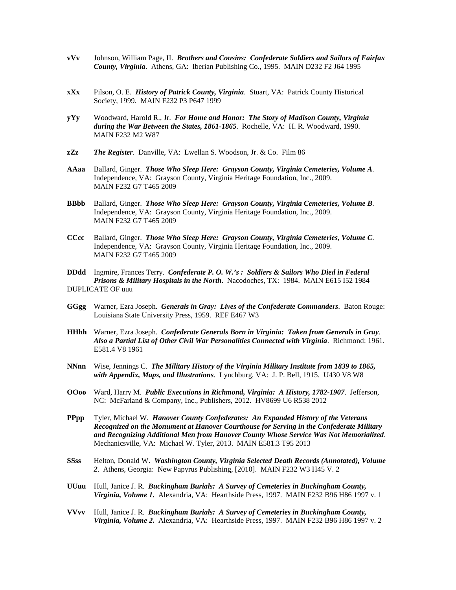- **vVv** Johnson, William Page, II. *Brothers and Cousins: Confederate Soldiers and Sailors of Fairfax County, Virginia*. Athens, GA: Iberian Publishing Co., 1995. MAIN D232 F2 J64 1995
- **xXx** Pilson, O. E. *History of Patrick County, Virginia*. Stuart, VA: Patrick County Historical Society, 1999. MAIN F232 P3 P647 1999
- **yYy** Woodward, Harold R., Jr. *For Home and Honor: The Story of Madison County, Virginia during the War Between the States, 1861-1865*. Rochelle, VA: H. R. Woodward, 1990. MAIN F232 M2 W87
- **zZz** *The Register*. Danville, VA: Lwellan S. Woodson, Jr. & Co. Film 86
- **AAaa** Ballard, Ginger. *Those Who Sleep Here: Grayson County, Virginia Cemeteries, Volume A*. Independence, VA: Grayson County, Virginia Heritage Foundation, Inc., 2009. MAIN F232 G7 T465 2009
- **BBbb** Ballard, Ginger. *Those Who Sleep Here: Grayson County, Virginia Cemeteries, Volume B*. Independence, VA: Grayson County, Virginia Heritage Foundation, Inc., 2009. MAIN F232 G7 T465 2009
- **CCcc** Ballard, Ginger. *Those Who Sleep Here: Grayson County, Virginia Cemeteries, Volume C*. Independence, VA: Grayson County, Virginia Heritage Foundation, Inc., 2009. MAIN F232 G7 T465 2009
- **DDdd** Ingmire, Frances Terry. *Confederate P. O. W.'s : Soldiers & Sailors Who Died in Federal Prisons & Military Hospitals in the North*. Nacodoches, TX: 1984. MAIN E615 I52 1984 DUPLICATE OF uuu
- **GGgg** Warner, Ezra Joseph. *Generals in Gray: Lives of the Confederate Commanders*. Baton Rouge: Louisiana State University Press, 1959. REF E467 W3
- **HHhh** Warner, Ezra Joseph. *Confederate Generals Born in Virginia: Taken from Generals in Gray*. *Also a Partial List of Other Civil War Personalities Connected with Virginia*. Richmond: 1961. E581.4 V8 1961
- **NNnn** Wise, Jennings C. *The Military History of the Virginia Military Institute from 1839 to 1865, with Appendix, Maps, and Illustrations*. Lynchburg, VA: J. P. Bell, 1915. U430 V8 W8
- **OOoo** Ward, Harry M. *Public Executions in Richmond, Virginia: A History, 1782-1907*. Jefferson, NC: McFarland & Company, Inc., Publishers, 2012. HV8699 U6 R538 2012
- **PPpp** Tyler, Michael W. *Hanover County Confederates: An Expanded History of the Veterans Recognized on the Monument at Hanover Courthouse for Serving in the Confederate Military and Recognizing Additional Men from Hanover County Whose Service Was Not Memorialized*. Mechanicsville, VA: Michael W. Tyler, 2013. MAIN E581.3 T95 2013
- **SSss** Helton, Donald W. *Washington County, Virginia Selected Death Records (Annotated), Volume 2*. Athens, Georgia: New Papyrus Publishing, [2010]. MAIN F232 W3 H45 V. 2
- **UUuu** Hull, Janice J. R. *Buckingham Burials: A Survey of Cemeteries in Buckingham County, Virginia, Volume 1.* Alexandria, VA: Hearthside Press, 1997. MAIN F232 B96 H86 1997 v. 1
- **VVvv** Hull, Janice J. R. *Buckingham Burials: A Survey of Cemeteries in Buckingham County, Virginia, Volume 2.* Alexandria, VA: Hearthside Press, 1997. MAIN F232 B96 H86 1997 v. 2